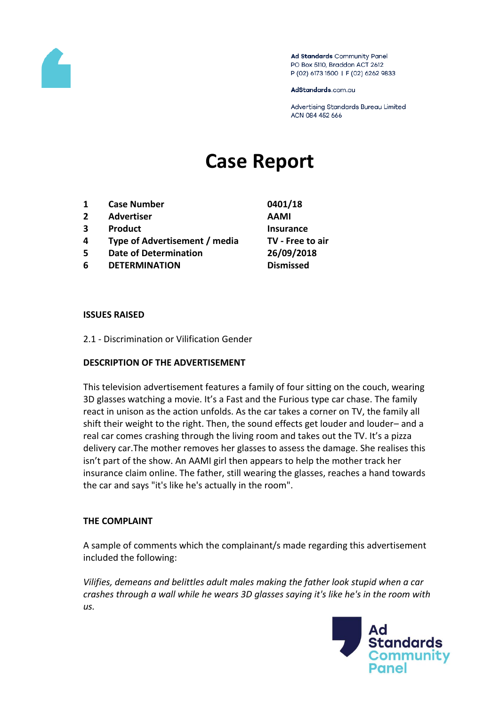

Ad Standards Community Panel PO Box 5110, Braddon ACT 2612 P (02) 6173 1500 | F (02) 6262 9833

AdStandards.com.au

Advertising Standards Bureau Limited ACN 084 452 666

# **Case Report**

- **1 Case Number 0401/18**
- **2 Advertiser AAMI**
- **3 Product Insurance**
- **4 Type of Advertisement / media TV - Free to air**
- **5 Date of Determination 26/09/2018**
- **6 DETERMINATION Dismissed**

## **ISSUES RAISED**

2.1 - Discrimination or Vilification Gender

## **DESCRIPTION OF THE ADVERTISEMENT**

This television advertisement features a family of four sitting on the couch, wearing 3D glasses watching a movie. It's a Fast and the Furious type car chase. The family react in unison as the action unfolds. As the car takes a corner on TV, the family all shift their weight to the right. Then, the sound effects get louder and louder– and a real car comes crashing through the living room and takes out the TV. It's a pizza delivery car.The mother removes her glasses to assess the damage. She realises this isn't part of the show. An AAMI girl then appears to help the mother track her insurance claim online. The father, still wearing the glasses, reaches a hand towards the car and says "it's like he's actually in the room".

## **THE COMPLAINT**

A sample of comments which the complainant/s made regarding this advertisement included the following:

*Vilifies, demeans and belittles adult males making the father look stupid when a car crashes through a wall while he wears 3D glasses saying it's like he's in the room with us.*

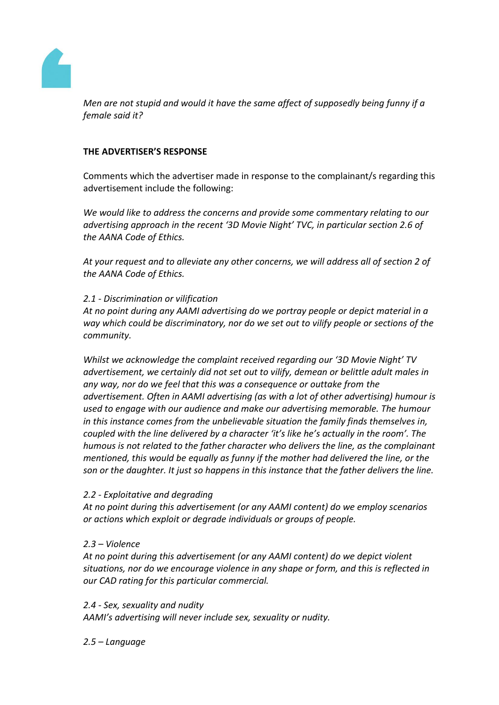

*Men are not stupid and would it have the same affect of supposedly being funny if a female said it?*

## **THE ADVERTISER'S RESPONSE**

Comments which the advertiser made in response to the complainant/s regarding this advertisement include the following:

*We would like to address the concerns and provide some commentary relating to our advertising approach in the recent '3D Movie Night' TVC, in particular section 2.6 of the AANA Code of Ethics.*

*At your request and to alleviate any other concerns, we will address all of section 2 of the AANA Code of Ethics.*

## *2.1 - Discrimination or vilification*

*At no point during any AAMI advertising do we portray people or depict material in a way which could be discriminatory, nor do we set out to vilify people or sections of the community.*

*Whilst we acknowledge the complaint received regarding our '3D Movie Night' TV advertisement, we certainly did not set out to vilify, demean or belittle adult males in any way, nor do we feel that this was a consequence or outtake from the advertisement. Often in AAMI advertising (as with a lot of other advertising) humour is used to engage with our audience and make our advertising memorable. The humour in this instance comes from the unbelievable situation the family finds themselves in, coupled with the line delivered by a character 'it's like he's actually in the room'. The humous is not related to the father character who delivers the line, as the complainant mentioned, this would be equally as funny if the mother had delivered the line, or the son or the daughter. It just so happens in this instance that the father delivers the line.*

## *2.2 - Exploitative and degrading*

*At no point during this advertisement (or any AAMI content) do we employ scenarios or actions which exploit or degrade individuals or groups of people.*

# *2.3 – Violence*

*At no point during this advertisement (or any AAMI content) do we depict violent situations, nor do we encourage violence in any shape or form, and this is reflected in our CAD rating for this particular commercial.*

## *2.4 - Sex, sexuality and nudity*

*AAMI's advertising will never include sex, sexuality or nudity.*

# *2.5 – Language*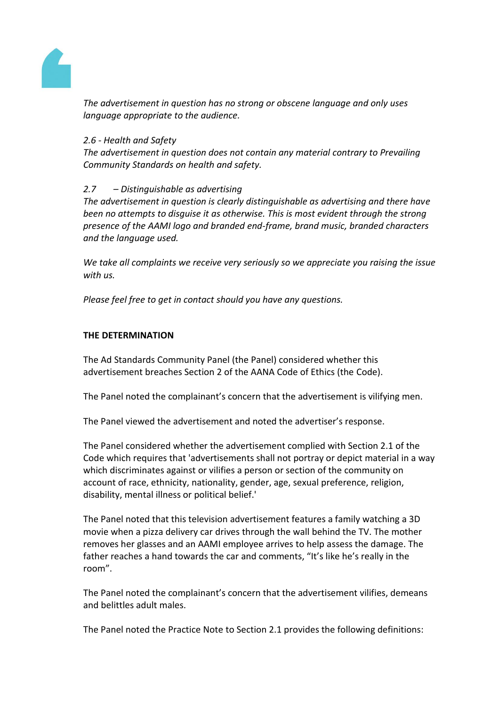

*The advertisement in question has no strong or obscene language and only uses language appropriate to the audience.*

## *2.6 - Health and Safety*

*The advertisement in question does not contain any material contrary to Prevailing Community Standards on health and safety.*

## *2.7 – Distinguishable as advertising*

*The advertisement in question is clearly distinguishable as advertising and there have been no attempts to disguise it as otherwise. This is most evident through the strong presence of the AAMI logo and branded end-frame, brand music, branded characters and the language used.*

*We take all complaints we receive very seriously so we appreciate you raising the issue with us.*

*Please feel free to get in contact should you have any questions.*

## **THE DETERMINATION**

The Ad Standards Community Panel (the Panel) considered whether this advertisement breaches Section 2 of the AANA Code of Ethics (the Code).

The Panel noted the complainant's concern that the advertisement is vilifying men.

The Panel viewed the advertisement and noted the advertiser's response.

The Panel considered whether the advertisement complied with Section 2.1 of the Code which requires that 'advertisements shall not portray or depict material in a way which discriminates against or vilifies a person or section of the community on account of race, ethnicity, nationality, gender, age, sexual preference, religion, disability, mental illness or political belief.'

The Panel noted that this television advertisement features a family watching a 3D movie when a pizza delivery car drives through the wall behind the TV. The mother removes her glasses and an AAMI employee arrives to help assess the damage. The father reaches a hand towards the car and comments, "It's like he's really in the room".

The Panel noted the complainant's concern that the advertisement vilifies, demeans and belittles adult males.

The Panel noted the Practice Note to Section 2.1 provides the following definitions: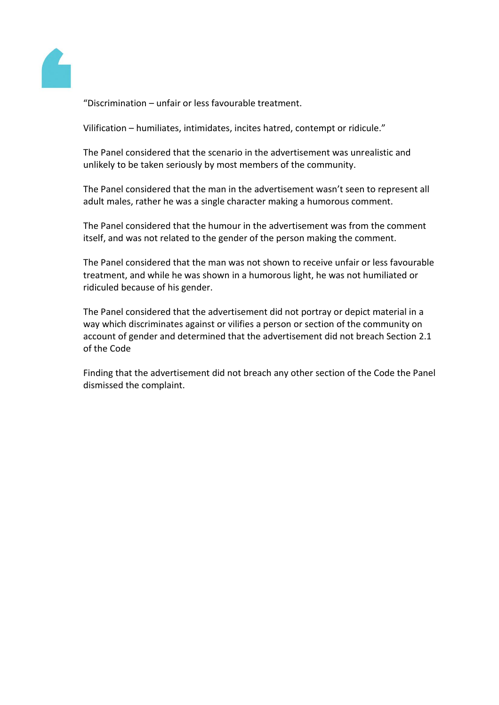

"Discrimination – unfair or less favourable treatment.

Vilification – humiliates, intimidates, incites hatred, contempt or ridicule."

The Panel considered that the scenario in the advertisement was unrealistic and unlikely to be taken seriously by most members of the community.

The Panel considered that the man in the advertisement wasn't seen to represent all adult males, rather he was a single character making a humorous comment.

The Panel considered that the humour in the advertisement was from the comment itself, and was not related to the gender of the person making the comment.

The Panel considered that the man was not shown to receive unfair or less favourable treatment, and while he was shown in a humorous light, he was not humiliated or ridiculed because of his gender.

The Panel considered that the advertisement did not portray or depict material in a way which discriminates against or vilifies a person or section of the community on account of gender and determined that the advertisement did not breach Section 2.1 of the Code

Finding that the advertisement did not breach any other section of the Code the Panel dismissed the complaint.